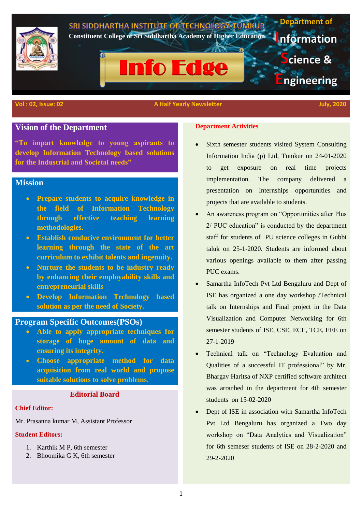

#### **Vol : 02, Issue: 02** A Half Yearly Newsletter July, 2020 A Half Yearly Newsletter July, 2020

# **Vision of the Department**

**"To impart knowledge to young aspirants to develop Information Technology based solutions for the Industrial and Societal needs"**

# **Mission**

- **Prepare students to acquire knowledge in the field of Information Technology through effective teaching learning methodologies.**
- **Establish conducive environment for better learning through the state of the art curriculum to exhibit talents and ingenuity.**
- **Nurture the students to be industry ready by enhancing their employability skills and entrepreneurial skills**
- **Develop Information Technology based solution as per the need of Society.**

## **Program Specific Outcomes(PSOs)**

- **Able to apply appropriate techniques for storage of huge amount of data and ensuring its integrity.**
- **Choose appropriate method for data acquisition from real world and propose suitable solutions to solve problems.**

## **Editorial Board**

#### **Chief Editor:**

Mr. Prasanna kumar M, Assistant Professor

#### **Student Editors:**

- 1. Karthik M P, 6th semester
- 2. Bhoomika G K, 6th semester

### **Department Activities**

- Sixth semester students visited System Consulting Information India (p) Ltd, Tumkur on 24-01-2020 to get exposure on real time projects implementation. The company delivered a presentation on Internships opportunities and projects that are available to students.
- An awareness program on "Opportunities after Plus 2/ PUC education" is conducted by the department staff for students of PU science colleges in Gubbi taluk on 25-1-2020. Students are informed about various openings available to them after passing PUC exams.
- Samartha InfoTech Pvt Ltd Bengaluru and Dept of ISE has organized a one day workshop /Technical talk on Internships and Final project in the Data Visualization and Computer Networking for 6th semester students of ISE, CSE, ECE, TCE, EEE on 27-1-2019
- Technical talk on "Technology Evaluation and Qualities of a successful IT professional" by Mr. Bhargav Haritsa of NXP certified software architect was arranhed in the department for 4th semester students on 15-02-2020
- Dept of ISE in association with Samartha InfoTech Pvt Ltd Bengaluru has organized a Two day workshop on "Data Analytics and Visualization" for 6th semeser students of ISE on 28-2-2020 and 29-2-2020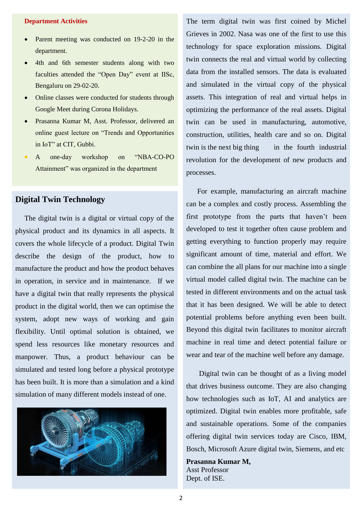### **Department Activities**

- Parent meeting was conducted on 19-2-20 in the department.
- 4th and 6th semester students along with two faculties attended the "Open Day" event at IISc, Bengaluru on 29-02-20.
- Online classes were conducted for students through Google Meet during Corona Holidays.
- Prasanna Kumar M, Asst. Professor, delivered an online guest lecture on "Trends and Opportunities in IoT" at CIT, Gubbi.
- A one-day workshop on "NBA-CO-PO Attainment" was organized in the department

# **Digital Twin Technology**

 The digital twin is a digital or virtual copy of the physical product and its dynamics in all aspects. It covers the whole lifecycle of a product. Digital Twin describe the design of the product, how to manufacture the product and how the product behaves in operation, in service and in maintenance. If we have a digital twin that really represents the physical product in the digital world, then we can optimise the system, adopt new ways of working and gain flexibility. Until optimal solution is obtained, we spend less resources like monetary resources and manpower. Thus, a product behaviour can be simulated and tested long before a physical prototype has been built. It is more than a simulation and a kind simulation of many different models instead of one.



The term digital twin was first coined by Michel Grieves in 2002. Nasa was one of the first to use this technology for space exploration missions. Digital twin connects the real and virtual world by collecting data from the installed sensors. The data is evaluated and simulated in the virtual copy of the physical assets. This integration of real and virtual helps in optimizing the performance of the real assets. Digital twin can be used in manufacturing, automotive, construction, utilities, health care and so on. Digital twin is the next big thing in the fourth industrial revolution for the development of new products and processes.

 For example, manufacturing an aircraft machine can be a complex and costly process. Assembling the first prototype from the parts that haven't been developed to test it together often cause problem and getting everything to function properly may require significant amount of time, material and effort. We can combine the all plans for our machine into a single virtual model called digital twin. The machine can be tested in different environments and on the actual task that it has been designed. We will be able to detect potential problems before anything even been built. Beyond this digital twin facilitates to monitor aircraft machine in real time and detect potential failure or wear and tear of the machine well before any damage.

 Digital twin can be thought of as a living model that drives business outcome. They are also changing how technologies such as IoT, AI and analytics are optimized. Digital twin enables more profitable, safe and sustainable operations. Some of the companies offering digital twin services today are Cisco, IBM, Bosch, Microsoft Azure digital twin, Siemens, and etc

**Prasanna Kumar M,**  Asst Professor Dept. of ISE.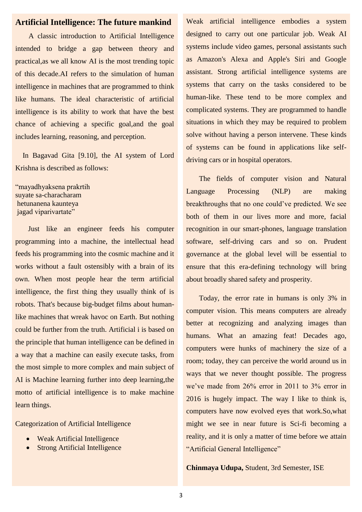## **Artificial Intelligence: The future mankind**

 A classic introduction to Artificial Intelligence intended to bridge a gap between theory and practical,as we all know AI is the most trending topic of this decade.AI refers to the simulation of human intelligence in machines that are programmed to think like humans. The ideal characteristic of artificial intelligence is its ability to work that have the best chance of achieving a specific goal,and the goal includes learning, reasoning, and perception.

 In Bagavad Gita [9.10], the AI system of Lord Krishna is described as follows:

"mayadhyaksena prakrtih suyate sa-characharam hetunanena kaunteya jagad viparivartate"

 Just like an engineer feeds his computer programming into a machine, the intellectual head feeds his programming into the cosmic machine and it works without a fault ostensibly with a brain of its own. When most people hear the term artificial intelligence, the first thing they usually think of is robots. That's because big-budget films about humanlike machines that wreak havoc on Earth. But nothing could be further from the truth. Artificial i is based on the principle that human intelligence can be defined in a way that a machine can easily execute tasks, from the most simple to more complex and main subject of AI is Machine learning further into deep learning,the motto of artificial intelligence is to make machine learn things.

Categorization of Artificial Intelligence

- Weak Artificial Intelligence
- Strong Artificial Intelligence

Weak artificial intelligence embodies a system designed to carry out one particular job. Weak AI systems include video games, personal assistants such as Amazon's Alexa and Apple's Siri and Google assistant. Strong artificial intelligence systems are systems that carry on the tasks considered to be human-like. These tend to be more complex and complicated systems. They are programmed to handle situations in which they may be required to problem solve without having a person intervene. These kinds of systems can be found in applications like selfdriving cars or in hospital operators.

 The fields of computer vision and Natural Language Processing (NLP) are making breakthroughs that no one could've predicted. We see both of them in our lives more and more, facial recognition in our smart-phones, language translation software, self-driving cars and so on. Prudent governance at the global level will be essential to ensure that this era-defining technology will bring about broadly shared safety and prosperity.

 Today, the error rate in humans is only 3% in computer vision. This means computers are already better at recognizing and analyzing images than humans. What an amazing feat! Decades ago, computers were hunks of machinery the size of a room; today, they can perceive the world around us in ways that we never thought possible. The progress we've made from 26% error in 2011 to 3% error in 2016 is hugely impact. The way I like to think is, computers have now evolved eyes that work.So,what might we see in near future is Sci-fi becoming a reality, and it is only a matter of time before we attain "Artificial General Intelligence"

**Chinmaya Udupa,** Student, 3rd Semester, ISE